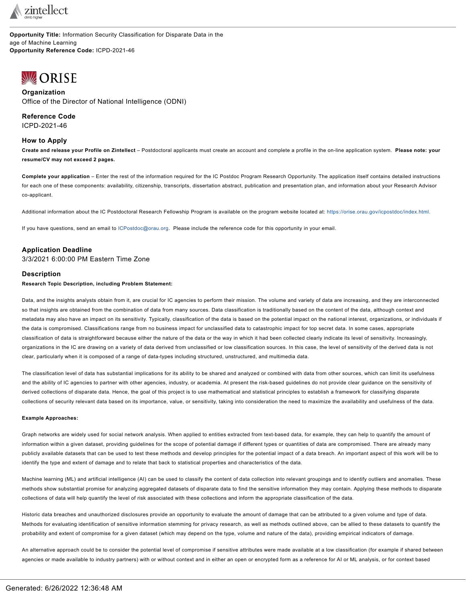

**Opportunity Title:** Information Security Classification for Disparate Data in the age of Machine Learning **Opportunity Reference Code:** ICPD-2021-46

# <span id="page-0-0"></span>**WORISE**

**Organization** Office of the Director of National Intelligence (ODNI)

**Reference Code** ICPD-2021-46

## **How to Apply**

Create and release your Profile on Zintellect - Postdoctoral applicants must create an account and complete a profile in the on-line application system. Please note: your **resume/CV may not exceed 2 pages.**

**Complete your application** – Enter the rest of the information required for the IC Postdoc Program Research Opportunity. The application itself contains detailed instructions for each one of these components: availability, citizenship, transcripts, dissertation abstract, publication and presentation plan, and information about your Research Advisor co-applicant.

Additional information about the IC Postdoctoral Research Fellowship Program is available on the program website located at: [https://orise.orau.gov/icpostdoc/index.html.](https://orise.orau.gov/icpostdoc/index.html)

If you have questions, send an email to [ICPostdoc@orau.org.](mailto:ICPostdoc@orau.org) Please include the reference code for this opportunity in your email.

## **Application Deadline**

3/3/2021 6:00:00 PM Eastern Time Zone

## **Description**

**Research Topic Description, including Problem Statement:**

Data, and the insights analysts obtain from it, are crucial for IC agencies to perform their mission. The volume and variety of data are increasing, and they are interconnected so that insights are obtained from the combination of data from many sources. Data classification is traditionally based on the content of the data, although context and metadata may also have an impact on its sensitivity. Typically, classification of the data is based on the potential impact on the national interest, organizations, or individuals if the data is compromised. Classifications range from no business impact for unclassified data to catastrophic impact for top secret data. In some cases, appropriate classification of data is straightforward because either the nature of the data or the way in which it had been collected clearly indicate its level of sensitivity. Increasingly, organizations in the IC are drawing on a variety of data derived from unclassified or low classification sources. In this case, the level of sensitivity of the derived data is not clear, particularly when it is composed of a range of data-types including structured, unstructured, and multimedia data.

The classification level of data has substantial implications for its ability to be shared and analyzed or combined with data from other sources, which can limit its usefulness and the ability of IC agencies to partner with other agencies, industry, or academia. At present the risk-based guidelines do not provide clear guidance on the sensitivity of derived collections of disparate data. Hence, the goal of this project is to use mathematical and statistical principles to establish a framework for classifying disparate collections of security relevant data based on its importance, value, or sensitivity, taking into consideration the need to maximize the availability and usefulness of the data.

#### **Example Approaches:**

Graph networks are widely used for social network analysis. When applied to entities extracted from text-based data, for example, they can help to quantify the amount of information within a given dataset, providing guidelines for the scope of potential damage if different types or quantities of data are compromised. There are already many publicly available datasets that can be used to test these methods and develop principles for the potential impact of a data breach. An important aspect of this work will be to identify the type and extent of damage and to relate that back to statistical properties and characteristics of the data.

Machine learning (ML) and artificial intelligence (AI) can be used to classify the content of data collection into relevant groupings and to identify outliers and anomalies. These methods show substantial promise for analyzing aggregated datasets of disparate data to find the sensitive information they may contain. Applying these methods to disparate collections of data will help quantify the level of risk associated with these collections and inform the appropriate classification of the data.

Historic data breaches and unauthorized disclosures provide an opportunity to evaluate the amount of damage that can be attributed to a given volume and type of data. Methods for evaluating identification of sensitive information stemming for privacy research, as well as methods outlined above, can be allied to these datasets to quantify the probability and extent of compromise for a given dataset (which may depend on the type, volume and nature of the data), providing empirical indicators of damage.

An alternative approach could be to consider the potential level of compromise if sensitive attributes were made available at a low classification (for example if shared between agencies or made available to industry partners) with or without context and in either an open or encrypted form as a reference for AI or ML analysis, or for context based